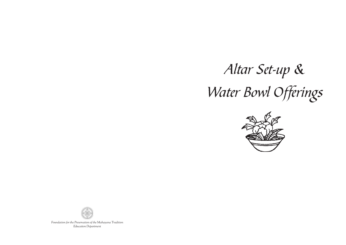# Altar Set-up & Water Bowl Offerings





*Foundation for the Preservation of the Mahayana Tradition Education Department*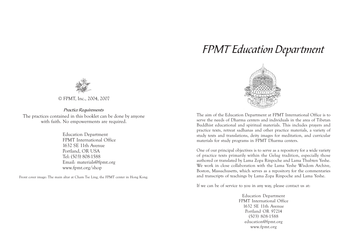## FPMT Education Department



© FPMT, Inc., 2004, 2007

#### Practice Requirements

The practices contained in this booklet can be done by anyone with faith. No empowerments are required.

> Education Department FPMT International Office 1632 SE 11th Avenue Portland, OR USA Tel: (503) 808-1588 Email: materials@fpmt.org www.fpmt.org/shop

Front cover image: The main altar at Cham Tse Ling, the FPMT center in Hong Kong.



The aim of the Education Department at FPMT International Office is to serve the needs of Dharma centers and individuals in the area of Tibetan Buddhist educational and spiritual materials. This includes prayers and practice texts, retreat sadhanas and other practice materials, a variety of study texts and translations, deity images for meditation, and curricular materials for study programs in FPMT Dharma centers.

One of our principal objectives is to serve as a repository for a wide variety of practice texts primarily within the Gelug tradition, especially those authored or translated by Lama Zopa Rinpoche and Lama Thubten Yeshe. We work in close collaboration with the Lama Yeshe Wisdom Archive, Boston, Massachusetts, which serves as a repository for the commentaries and transcripts of teachings by Lama Zopa Rinpoche and Lama Yeshe.

If we can be of service to you in any way, please contact us at:

Education Department FPMT International Office 1632 SE 11th Avenue Portland OR 97214 (503) 808-1588 education@fpmt.org www.fpmt.org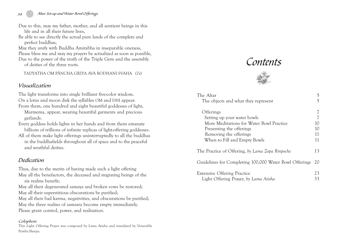## <sup>34</sup>Altar Set-up and Water Bowl Offerings

- Due to this, may my father, mother, and all sentient beings in this life and in all their future lives,
- Be able to see directly the actual pure lands of the complete and perfect buddhas,

May they unify with Buddha Amitabha in inseparable oneness, Please bless me and may my prayers be actualized as soon as possible, Due to the power of the truth of the Triple Gem and the assembly of deities of the three roots.

TADYATHA OM PÄNCHA GRIYA AVA BODHANI SVAHA (*7x*)

## Visualization

The light transforms into single brilliant five-color wisdom. On a lotus and moon disk the syllables OM and DHI appear. From them, one hundred and eight beautiful goddesses of light,

- Marmema, appear, wearing beautiful garments and precious garlands.
- Every goddess holds lights in her hands and from them emanate billions of trillions of infinite replicas of light-offering goddesses.
- All of them make light offerings uninterruptedly to all the buddhas
- in the buddhafields throughout all of space and to the peaceful and wrathful deities.

## Dedication

Thus, due to the merits of having made such a light offering May all the benefactors, the deceased and migrating beings of the six realms benefit;

May all their degenerated samaya and broken vows be restored; May all their superstitious obscurations be purified;

May all their bad karma, negativities, and obscurations be purified; May the three realms of samsara become empty immediately. Please grant control, power, and realization.

#### Colophon:

This Light Offering Prayer was composed by Lama Atisha and translated by Venerable Pemba Sherpa.

## Contents



| The Altar                                              | 5              |
|--------------------------------------------------------|----------------|
| The objects and what they represent                    | 5              |
| Offerings                                              | 7              |
| Setting up your water bowls                            | $\overline{7}$ |
| More Meditations for Water Bowl Practice               | 10             |
| Presenting the offerings                               | 10             |
| Removing the offerings                                 | 11             |
| When to Fill and Empty Bowls                           | 11             |
| The Practice of Offering, by Lama Zopa Rinpoche        | 13             |
| Guidelines for Completing 100,000 Water Bowl Offerings | 20             |
| <b>Extensive Offering Practice</b>                     | 23             |
| Light Offering Prayer, by Lama Atisha                  | 33             |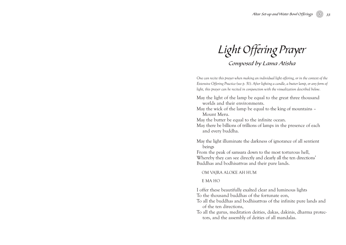Light Offering Prayer

Composed by Lama Atisha

*One can recite this prayer when making an individual light offering, or in the context of the Extensive Offering Practice (see p. 51). After lighting a candle, a butter lamp, or any form of light, this prayer can be recited in conjunction with the visualization described below.*

- May the light of the lamp be equal to the great three thousand worlds and their environments.
- May the wick of the lamp be equal to the king of mountains Mount Meru.

May the butter be equal to the infinite ocean.

May there be billions of trillions of lamps in the presence of each and every buddha.

May the light illuminate the darkness of ignorance of all sentient beings

From the peak of samsara down to the most torturous hell, Whereby they can see directly and clearly all the ten directions' Buddhas and bodhisattvas and their pure lands.

OM VAJRA ALOKE AH HUM

E MA HO

I offer these beautifully exalted clear and luminous lights

To the thousand buddhas of the fortunate eon,

To all the buddhas and bodhisattvas of the infinite pure lands and of the ten directions,

To all the gurus, meditation deities, dakas, dakinis, dharma protectors, and the assembly of deities of all mandalas.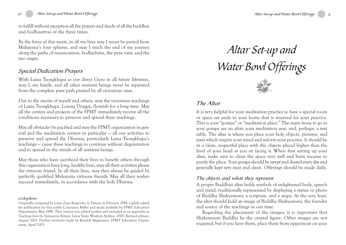

to fulfill without exception all the prayers and deeds of all the buddhas and bodhisattvas of the three times.

By the force of this merit, in all my lives may I never be parted from Mahayana's four spheres, and may I reach the end of my journey along the paths of renunciation, bodhichitta, the pure view, and the two stages.

### Special Dedication Prayers

With Lama Tsongkhapa as our direct Guru in all future lifetimes, may I, my family, and all other sentient beings never be separated from the complete pure path praised by all victorious ones.

Due to the merits of myself and others, may the victorious teachings of Lama Tsongkhapa, Losang Dragpa, flourish for a long time. May all the centers and projects of the FPMT immediately receive all the conditions necessary to preserve and spread these teachings.

May all obstacles be pacified and may the FPMT organization in general and the meditation centers in particular — all our activities to preserve and spread the Dharma, particularly Lama Tsongkhapa's teachings — cause these teachings to continue without degeneration and to spread in the minds of all sentient beings.

May those who have sacrificed their lives to benefit others through this organization have long, healthy lives, may all their activities please the virtuous friend. In all their lives, may they always be guided by perfectly qualified Mahayana virtuous friends. May all their wishes succeed immediately, in accordance with the holy Dharma.

#### Colophon:

Originally composed by Lama Zopa Rinpoche in Taiwan in February 1994. Lightly edited for publication by Ven.erable Constance Miller and made available by FPMT Education Department, May 1998. That version was edited further and included as an appendix in *Teachings from the Vajrasattva Retreat*, Lama Yeshe Wisdom Archive, 2000. Revised edition, August 2001. Further revisions made by Kendall Magnussen, FPMT Education Department, April 2003.



## Altar Set-up and Water Bowl Offerings



## The Altar

It is very helpful for your meditation practice to have a special room or space set aside in your home that is reserved for your practice. This is your "gompa" or "meditation place." The main items to go in your gompa are an altar, your meditation seat, and, perhaps, a text table. The altar is where you place your holy objects, pictures, and texts which inspire your mind and inform your practice. It should be in a clean, respectful place with the objects placed higher than the level of your head as you sit facing it. When first setting up your altar, make sure to clean the space very well and burn incense to purify the place. Your gompa should be swept and dusted every day and generally kept very neat and clean. Offerings should be made daily.

#### The objects and what they represent

A proper Buddhist altar holds symbols of enlightened body, speech and mind, traditionally represented by displaying a statue or photo of Buddha Shakyamuni, a scripture, and a stupa. At the very least, the altar should hold an image of Buddha Shakyamuni, the founder and source of the teachings in our time.

Regarding the placement of the images, it is important that Shakyamuni Buddha be the central figure. Other images are not required, but if you have them, place them from uppermost on your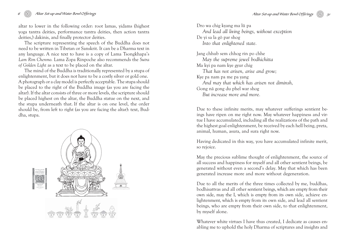

altar to lower in the following order: root lamas, yidams (highest yoga tantra deities, performance tantra deities, then action tantra deities,) dakinis, and finally protector deities.

The scripture representing the speech of the Buddha does not need to be written in Tibetan or Sanskrit. It can be a Dharma text in any language. A nice text to have is a copy of Lama Tsongkhapa's *Lam Rim Chenmo.* Lama Zopa Rinpoche also recommends the *Sutra of Golden Light* as a text to be placed on the altar.

The mind of the Buddha is traditionally represented by a stupa of enlightenment, but it does not have to be a costly silver or gold one. A photograph or a clay model is perfectly acceptable. The stupa should be placed to the right of the Buddha image (as you are facing the altar). If the altar consists of three or more levels, the scripture should be placed highest on the altar, the Buddha statue on the next, and the stupa underneath that. If the altar is on one level, the order should be, from left to right (as you are facing the altar): text, Buddha, stupa.



Dro wa chig kyang ma lü pa *And lead all living beings, without exception* De yi sa la gö par shog *Into that enlightened state.*

Jang chhub sem chhog rin po chhe *May the supreme jewel bodhichitta* Ma kyi pa nam kye gyur chig *That has not arisen, arise and grow;* Kye pa nam pa me pa yang *And may that which has arisen not diminsh,* Gong nä gong du phel war shog *But increase more and more.*

Due to these infinite merits, may whatever sufferings sentient beings have ripen on me right now. May whatever happiness and virtue I have accumulated, including all the realizations of the path and the highest goal enlightenment, be received by each hell being, preta, animal, human, asura, and sura right now.

Having dedicated in this way, you have accumulated infinite merit, so rejoice.

May the precious sublime thought of enlightenment, the source of all success and happiness for myself and all other sentient beings, be generated without even a second's delay. May that which has been generated increase more and more without degeneration.

Due to all the merits of the three times collected by me, buddhas, bodhisattvas and all other sentient beings, which are empty from their own side, may the I, which is empty from its own side, achieve enlightenment, which is empty from its own side, and lead all sentient beings, who are empty from their own side, to that enlightenment, by myself alone.

Whatever white virtues I have thus created, I dedicate as causes enabling me to uphold the holy Dharma of scriptures and insights and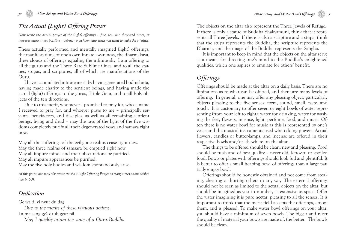## The Actual (Light) Offering Prayer

*Now recite the actual prayer of the (light) offerings – five, ten, one thousand times, or however many times possible – depending on how many times you want to make the offerings:*

These actually performed and mentally imagined (light) offerings, the manifestations of one's own innate awareness, the dharmakaya, these clouds of offerings equaling the infinite sky, I am offering to all the gurus and the Three Rare Sublime Ones, and to all the statues, stupas, and scriptures, all of which are manifestations of the Guru.

I have accumulated infinite merit by having generated bodhichitta, having made charity to the sentient beings, and having made the actual (light) offerings to the gurus, Triple Gem, and to all holy objects of the ten directions.

Due to this merit, whomever I promised to pray for, whose name I received to pray for, and whoever prays to me – principally servants, benefactors, and disciples, as well as all remaining sentient beings, living and dead – may the rays of the light of the five wisdoms completely purify all their degenerated vows and samaya right now.

May all the sufferings of the evil-gone realms cease right now. May the three realms of samsara be emptied right now. May all impure minds and their obscurations be purified. May all impure appearances be purified. May the five holy bodies and wisdom spontaneously arise.

*At this point, one may also recite Atisha's Light Offering Prayer as many times as one wishes (see p. 60).*

## Dedication

Ge wa di yi nyur du dag *Due to the merits of these virtuous actions* La ma sang gyä drub gyur nä *May I quickly attain the state of a Guru-Buddha* The objects on the altar also represent the Three Jewels of Refuge. If there is only a statue of Buddha Shakyamuni, think that it represents all Three Jewels. If there is also a scripture and a stupa, think that the stupa represents the Buddha, the scripture represents the Dharma, and the image of the Buddha represents the Sangha.

It is important to keep in mind that the objects on the altar serve as a means for directing one's mind to the Buddha's enlightened qualities, which one aspires to emulate for others' benefit.

## **Offerings**

Offerings should be made at the altar on a daily basis. There are no limitations as to what can be offered, and there are many levels of offering. In general, one may offer any pleasing object, particularly objects pleasing to the five senses: form, sound, smell, taste, and touch. It is customary to offer seven or eight bowls of water representing (from your left to right): water for drinking, water for washing the feet, flowers, incense, light, perfume, food, and music. Often there is no water bowl for music as this is represented by one's voice and the musical instruments used when doing prayers. Actual flowers, candles or butter-lamps, and incense are offered in their respective bowls and/or elsewhere on the altar.

The things to be offered should be clean, new and pleasing. Food should be fresh and of best quality – never old, leftover, or spoiled food. Bowls or plates with offerings should look full and plentiful. It is better to offer a small heaping bowl of offerings than a large partially empty bowl.

Offerings should be honestly obtained and not come from stealing, cheating or hurting others in any way. The external offerings should not be seen as limited to the actual objects on the altar, but should be imagined as vast in number, as extensive as space. Offer the water imagining it is pure nectar, pleasing to all the senses. It is important to think that the merit field accepts the offerings, enjoys them, and is pleased. To make water bowl offerings on your altar, you should have a minimum of seven bowls. The bigger and nicer the quality of material your bowls are made of, the better. The bowls should be clean.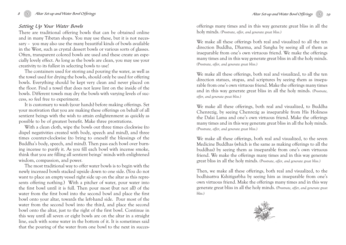

#### Setting Up Your Water Bowls

There are traditional offering bowls that can be obtained online and in many Tibetan shops. You may use these, but it is not necessary – you may also use the many beautiful kinds of bowls available in the West, such as crystal dessert bowls or various sorts of glasses. Often, transparent colored bowls are used and these create an especially lovely effect. As long as the bowls are clean, you may use your creativity to its fullest in selecting bowls to use!

The containers used for storing and pouring the water, as well as the towel used for drying the bowls, should only be used for offering bowls. Everything should be kept very clean and never placed on the floor. Find a towel that does not leave lint on the inside of the bowls. Different towels may dry the bowls with varying levels of success, so feel free to experiment.

It is customary to wash (your hands) before making offerings. Set your motivation that you are making these offerings on behalf of all sentient beings with the wish to attain enlightenment as quickly as possible to be of greatest benefit. Make three prostrations.

With a clean cloth, wipe the bowls out three times clockwise (to dispel negativities created with body, speech and mind), and three times counter-clockwise (to bring to oneself the blessings of the Buddha's body, speech, and mind). Then pass each bowl over burning incense to purify it. As you fill each bowl with incense smoke, think that you are filling all sentient beings' minds with enlightened wisdom, compassion, and power.

The most traditional way to offer water bowls is to begin with the newly incensed bowls stacked upside down to one side. (You do not want to place an empty vessel right side up on the altar as this represents offering nothing.) With a pitcher of water, pour water into the first bowl until it is full. Then pour most (but not all) of the water from the first bowl into the second bowl and place the first bowl onto your altar, towards the left-hand side. Pour most of the water from the second bowl into the third, and place the second bowl onto the altar, just to the right of the first bowl. Continue in this way until all seven or eight bowls are on the altar in a straight line, each with some water in the bottom of it. It is sometimes said that the pouring of the water from one bowl to the next in succesofferings many times and in this way generate great bliss in all the holy minds. *(Prostrate, offer, and generate great bliss.)*

We make all these offerings both real and visualized to all the ten direction Buddha, Dharma, and Sangha by seeing all of them as inseparable from one's own virtuous friend. We make the offerings many times and in this way generate great bliss in all the holy minds. *(Prostrate, offer, and generate great bliss.)*

We make all these offerings, both real and visualized, to all the ten direction statues, stupas, and scriptures by seeing them as insepa rable from one's own virtuous friend. Make the offerings many times and in this way generate great bliss in all the holy minds. *(Prostrate, offer, and generate great bliss.)*

We make all these offerings, both real and visualized, to Buddha Chenrezig, by seeing Chenrezig as inseparable from His Holiness the Dalai Lama and one's own virtuous friend. Make the offerings many times and in this way generate great bliss in all the holy minds. *(Prostrate, offer, and generate great bliss.)*

We make all these offerings, both real and visualized, to the seven Medicine Buddhas (which is the same as making offerings to all the buddhas) by seeing them as inseparable from one's own virtuous friend. We make the offerings many times and in this way generate great bliss in all the holy minds. *(Prostrate, offer, and generate great bliss.)*

Then, we make all these offerings, both real and visualized, to the bodhisattva Kshitigarbha by seeing him as inseparable from one's own virtuous friend. Make the offerings many times and in this way generate great bliss in all the holy minds. *(Prostrate, offer, and generate great bliss.)*

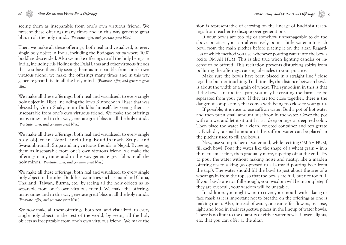28 Altar Set-up and Water Bowl Offerings

seeing them as inseparable from one's own virtuous friend. We present these offerings many times and in this way generate great bliss in all the holy minds. *(Prostrate, offer, and generate great bliss.)*

Then, we make all these offerings, both real and visualized, to every single holy object in India, including the Bodhgaya stupa where 1000 buddhas descended. Also we make offerings to all the holy beings in India, including His Holiness the Dalai Lama and other virtuous friends that you have there. By seeing them as inseparable from one's own virtuous friend, we make the offerings many times and in this way generate great bliss in all the holy minds. *(Prostrate, offer, and generate great bliss.)*

We make all these offerings, both real and visualized, to every single holy object in Tibet, including the Jowo Rinpoche in Lhasa that was blessed by Guru Shakyamuni Buddha himself, by seeing them as inseparable from one's own virtuous friend. We make the offerings many times and in this way generate great bliss in all the holy minds. *(Prostrate, offer, and generate great bliss.)*

We make all these offerings, both real and visualized, to every single holy object in Nepal, including Bouddhanath Stupa and Swayambhunath Stupa and any virtuous friends in Nepal. By seeing them as inseparable from one's own virtuous friend, we make the offerings many times and in this way generate great bliss in all the holy minds. *(Prostrate, offer, and generate great bliss.)*

We make all these offerings, both real and visualized, to every single holy object in the other Buddhist countries such as mainland China, Thailand, Taiwan, Burma, etc., by seeing all the holy objects as inseparable from one's own virtuous friend. We make the offerings many times and in this way generate great bliss in all the holy minds. *(Prostrate, offer, and generate great bliss.)*

We now make all these offerings, both real and visualized, to every single holy object in the rest of the world, by seeing all the holy objects as inseparable from one's own virtuous friend. We make the sion is representative of carrying on the lineage of Buddhist teachings from teacher to disciple over generations.

If your bowls are too big or somehow unmanageable to do the above practice, you can alternatively pour a little water into each bowl from the main pitcher before placing it on the altar. Regardless of which method you use, whenever pouring water into the bowls recite OM AH HUM. This is also true when lighting candles or incense to be offered. This recitation prevents disturbing spirits from polluting the offerings, causing obstacles to your practice.

Make sure the bowls have been placed in a straight line, $<sup>1</sup>$  close</sup> together but not touching. Traditionally, the distance between bowls is about the width of a grain of wheat. The symbolism in this is that if the bowls are too far apart, you may be creating the karma to be separated from your guru. If they are too close together, there is the danger of complacency that comes with being too close to your guru.

If possible, it is nice to use saffron water. Boil a pot of hot water and then put a small amount of saffron in the water. Cover the pot with a towel and let it sit until it is a deep orange or deep red color. Then place the water in a clean, covered container and refrigerate it. Each day, a small amount of this saffron water can be placed in the pitcher used to fill the bowls.

Now, use your pitcher of water and, while reciting OM AH HUM, fill each bowl. Pour the water like the shape of a wheat grain – in a thin stream at first, then gradually more, tapering off at the end. Try to pour the water without making noise and neatly, like a maiden offering tea to a king (as opposed to a barmaid pouring beer from the tap!). The water should fill the bowl to just about the size of a wheat grain from the top, so that the bowls are full, but not too full. If your bowls are not full enough, your wisdom will be incomplete; if they are over-full, your wisdom will be unstable.

In addition, you might want to cover your mouth with a katag or face mask as it is important not to breathe on the offerings as one is making them. Also, instead of water, one can offer flowers, incense, light and food in their respective places in the lineup of water bowls. There is no limit to the quantity of either water bowls, flowers, lights, etc. that you can offer at the altar.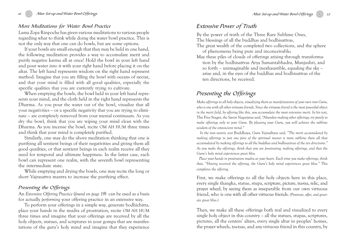#### More Meditations for Water Bowl Practice

Lama Zopa Rinpoche has given various meditations to various people regarding what to think while doing the water bowl practice. This is not the only way that one can do bowls, but are some options.

If your bowls are small enough that they may be held in one hand, the following meditation provides a way to accumulate merit and purify negative karma all at once! Hold the bowl in your left hand and pour water into it with your right hand before placing it on the altar. The left hand represents wisdom on the right hand represent method. Imagine that you are filling the bowl with oceans of nectar, and that your mind is filled with all good qualities, especially the specific qualities that you are currently trying to cultivate.

When emptying the bowls, the bowl held in your left hand represents your mind, and the cloth held in the right hand represents the Dharma. As you pour the water out of the bowl, visualize that all your negativities – or a specific negativity that you are trying to eliminate – are completely removed from your mental continuum. As you dry the bowl, think that you are wiping your mind clean with the Dharma. As you incense the bowl, recite OM AH HUM three times and think that your mind is completely purified.

Similarly, one may do the above meditation thinking that one is purifying all sentient beings of their negativities and giving them all good quailties, or that sentient beings in each realm receive all they need for temporal and ultimate happiness. In the latter case, each bowl can represent one realm, with the seventh bowl representing the intermediate state.

While emptying and drying the bowls, one may recite the long or short Vajrasattva mantra to increase the purifying effect.

### Presenting the Offerings

An *Extensive Offering Practice* (*found on page 19*) can be used as a basis for actually *performing* your offering practice in an extensive way.

To perform your offerings in a simple way, generate bodhichitta, <sup>p</sup>lace your hands in the mudra of prostration, recite OM AH HUM three times and imagine that your offerings are received by all the holy objects, statues, and scriptures in your gompa that are manifestations of the guru's holy mind and imagine that they experience

## Extensive Power of Truth

By the power of truth of the Three Rare Sublime Ones, The blessings of all the buddhas and bodhisattvas,

- The great wealth of the completed two collections, and the sphere of phenomena being pure and inconceivable;
- May these piles of clouds of offerings arising through transformation by the bodhisattvas Arya Samantabhadra, Manjushri, and so forth – unimaginable and inexhaustible, equaling the sky – arise and, in the eyes of the buddhas and bodhisattvas of the ten directions, be received.

## Presenting the Offerings

*Make offerings to all holy objects, visualizing them as manifestations of your own root Guru, who is one with all other virtuous friends. Since the virtuous friend is the most powerful object in the merit field, by offering like this, you accumulate the most extensive merit. In his text,* The Five Stages*, the Savior Nagarjuna said, "Abandon making other offerings; try purely to make offerings only to your Guru. By pleasing your Guru, you will achieve the sublime wisdom of the omniscient mind."*

 *In the root tantric text* Buddhaya*, Guru Vajradhara said, "The merit accumulated by making offerings to just one pore of the spiritual master is more sublime than all that accumulated by making offerings to all the buddhas and bodhisattvas of the ten directions." As you make the offerings, think that you are prostrating, making offerings, and that the Guru's holy mind experiences great bliss.*

 *Place your hands in prostration mudra at your heart. Each time you make offerings, think that, "Having received the offering, the Guru's holy mind experiences great bliss." This completes the offering.*

First, we make offerings to all the holy objects here in this place, every single thangka, statue, stupa, scripture, picture, tsa-tsa, relic, and prayer wheel, by seeing them as inseparable from our own virtuous friend, who is one with all other virtuous friends. *(Prostrate, offer, and generate great bliss.)*

Then, we make all these offerings both real and visualized to every single holy object in this country – all the statues, stupas, scriptures, <sup>p</sup>ictures, all the centers' altars, every single altar in peoples' homes, the prayer wheels, tsa-tsas, and any virtuous friend in this country, by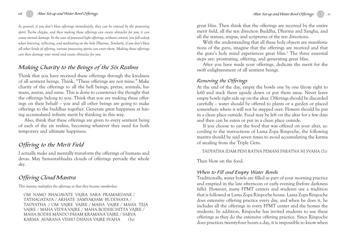*In general, if you don't bless offerings immediately, they can be entered by the possessing spirit Tse-bu chig-pa, and then making those offerings can create obstacles for you; it can cause mental damage. In the case of possessed light offerings, without control, you fall asleep when listening, reflecting, and meditating on the holy Dharma. Similarly, if you don't bless all other kinds of offering, various possessing spirits can enter them. Making those offerings can then damage your mind and create obstacles for you.*

## Making Charity to the Beings of the Six Realms

Think that you have received these offerings through the kindness of all sentient beings. Think, "These offerings are not mine." Make charity of the offerings to all the hell beings, pretas, animals, humans, asuras, and suras. This is done to counteract the thought that the offerings belong to you. Think that you are making these offerings on their behalf – you and all other beings are going to make offerings to the buddhas together. Generate great happiness at having accumulated infinite merit by thinking in this way.

Also, think that these offerings are given to every sentient being of each of the six realms, becoming whatever they need for both temporary and ultimate happiness.

## Offering to the Merit Field

I actually make and mentally transform the offerings of humans and devas. May Samantabhadra clouds of offerings pervade the whole sky.

## Offering Cloud Mantra

*This mantra multiplies the offerings so that they become numberless.*

OM NAMO BHAGAVATE VAJRA SARA PRAMARDANE / TATHAGATAYA / ARHATE SAMYAKSAM BUDDHAYA / TADYATHA / OM VAJRE VAJRE / MAHA VAJRE / MAHA TEJA VAJRE / MAHA VIDYA VAJRE / MAHA BODHICHITTA VAJRE / MAHA BODHI MÄNDO PASAM KRAMANA VAJRE / SARVA KARMA AVARANA VISHO DHANA VAJRE SVAHA *(3x)*

great bliss. Then think that the offerings are received by the entire merit field, all the ten direction Buddha, Dharma and Sangha, and all the statues, stupas, and scriptures of the ten directions.

With the understanding that all these holy objects are manifestations of the guru, imagine that the offerings are received and that the guru's holy mind experiences great bliss.2 The three essential steps are: prostrating, offering, and generating great bliss.

After you have made your offerings, dedicate the merit for the swift enlightenment of all sentient beings.

### Removing the Offerings

At the end of the day, empty the bowls one by one (from right to left) and stack them upside down or put them away. Never leave empty bowls right side up on the altar. Offerings should be discarded carefully – water should be offered to plants or a garden or placed somewhere where it will not be stepped over. Flowers should be put in a clean place outside. Food may be left on the altar for a few days and then can be eaten or put in a clean place outside.

If you choose to eat the food that was offered on your altar, according to the instructions of Lama Zopa Rinpoche, the following mantra should be said seven times to avoid accumulating the karma of stealing from the Triple Gem.

TADYATHA IDAM PENI RATNA PEMANI PARATNA NI SVAHA *(7x)*

Then blow on the food.

### When to Fill and Empty Water Bowls

Traditionally, water bowls are filled as part of your morning practice and emptied in the late afternoon or early evening (before darkness falls). However, many FPMT centers and students use a tradition that is followed at Lama Zopa Rinpoche house. Lama Zopa Rinpoche does extensive offering practice every day, and when he does it, he includes all the offerings in every FPMT center and the homes the students. In addition, Rinpoche has invited students to use these offerings as they do the extensive offering practice. Since Rinpoche does practices twenty-four hours a day, it is impossible to know when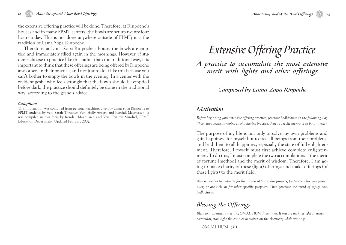

the extensive offering practice will be done. Therefore, at Rinpoche's houses and in many FPMT centers, the bowls are set up twenty-four hours a day. This is not done anywhere outside of FPMT; it is the tradition of Lama Zopa Rinpoche.

Therefore, at Lama Zopa Rinpoche's house, the bowls are emptied and immediately filled again in the mornings. However, if students choose to practice like this rather than the traditional way, it is important to think that these offerings are being offered by Rinpoche and others in their practice, and not just to do it like this because you can't bother to empty the bowls in the evening. In a center with the resident geshe who feels strongly that the bowls should be emptied before dark, the practice should definitely be done in the traditional way, according to the geshe's advice.

#### Colophon:

This information was compiled from personal teachings given by Lama Zopa Rinpoche to FPMT students by Ven. Sarah Thresher, Ven. Holly Ansett, and Kendall Magnussen. It was compiled in this form by Kendall Magnussen and Ven. Gyalten Mindrol, FPMT Education Department. Updated February 2007.

## Extensive Offering Practice

A practice to accumulate the most extensive merit with lights and other offerings

## Composed by Lama Zopa Rinpoche

#### Motivation

*Before beginning your extensive offering practice, generate bodhichitta in the following way (if you are specifically doing a light offering practice, then also recite the words in parantheses):*

The purpose of my life is not only to solve my own problems and gain happiness for myself but to free all beings from their problems and lead them to all happiness, especially the state of full enlightenment. Therefore, I myself must first achieve complete enlightenment. To do this, I must complete the two accumulations — the merit of fortune [method] and the merit of wisdom. Therefore, I am going to make charity of these (light) offerings and make offerings (of these lights) to the merit field.

*Also remember to motivate for the success of particular projects, for people who have passed away or are sick, or for other specific purposes. Then generate the mind of refuge and bodhichitta.*

## Blessing the Offerings

*Bless your offerings by reciting OM AH HUM three times. If you are making light offerings in particular, now light the candles or switch on the electricity while reciting:*

OM AH HUM *(3x)*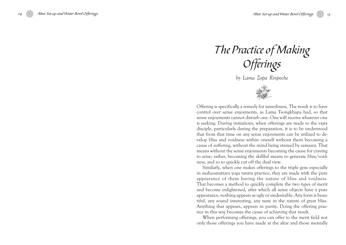

## The Practice of Making Offerings

*by Lama Zopa Rinpoche*



Offering is specifically a remedy for miserliness. The result is to have control over sense enjoyments, as Lama Tsongkhapa had, so that sense enjoyments cannot disturb one. One will receive whatever one is seeking. During initiations, when offerings are made to the vajra disciple, particularly during the preparation, it is to be understood that from that time on any sense enjoyments can be utilized to develop bliss and voidness within oneself without them becoming a cause of suffering, without the mind being stained by samsara. That means without the sense enjoyments becoming the cause for craving to arise; rather, becoming the skillful means to generate bliss/voidness, and so to quickly cut off the dual view.

Similarly, when one makes offerings to the triple gem especially in maha-anuttara yoga tantra practice, they are made with the pure appearance of them having the nature of bliss and voidness. That becomes a method to quickly complete the two types of merit and become enlightened, after which all sense objects have a pure appearance, nothing appears as ugly or undesirable. Any form is beautiful, any sound interesting, any taste in the nature of great bliss. Anything that appears, appears in purity. Doing the offering practice in this way becomes the cause of achieving that result.

When performing offerings, you can offer to the merit field not only those offerings you have made at the altar and those mentally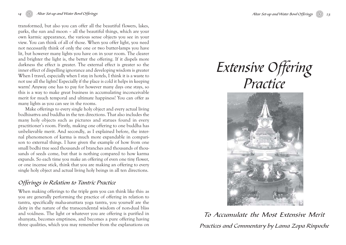<sup>14</sup>Altar Set-up and Water Bowl Offerings

transformed, but also you can offer all the beautiful flowers, lakes, parks, the sun and moon – all the beautiful things, which are your own karmic appearance, the various sense objects you see in your view. You can think of all of those. When you offer light, you need not necessarily think of only the one or two butter-lamps you have lit, but however many lights you have on in your room. The clearer and brighter the light is, the better the offering. If it dispels more darkness the effect is greater. The external effect is greater so the inner effect of dispelling ignorance and developing wisdom is greater When I travel, especially when I stay in hotels, I think it is a waste to not use all the lights! Especially if the place is cold it helps in keeping warm! Anyway one has to pay for however many days one stays, so this is a way to make great business in accumulating inconceivable merit for much temporal and ultimate happiness! You can offer as many lights as you can see in the rooms.

 Make offerings to every single holy object and every actual living bodhisattva and buddha in the ten directions. That also includes the many holy objects such as pictures and statues found in every practitioner's room. Firstly, making one offering to one buddha has unbelievable merit. And secondly, as I explained before, the internal phenomenon of karma is much more expandable in comparison to external things. I have given the example of how from one small bodhi tree seed thousands of branches and thousands of thousands of seeds come, but that is nothing compared to how karma expands. So each time you make an offering of even one tiny flower, or one incense stick, think that you are making an offering to every single holy object and actual living holy beings in all ten directions.

### Offerings in Relation to Tantric Practice

When making offerings to the triple gem you can think like this: as you are generally performing the practice of offering in relation to tantra, specifically maha-anuttara yoga tantra, you yourself are the deity in the nature of the transcendental wisdom of non-dual bliss and voidness. The light or whatever you are offering is purified in shunyata, becomes emptiness, and becomes a pure offering having three qualities, which you may remember from the explanations on

## Extensive Offering Practice



To Accumulate the Most Extensive Merit Practices and Commentary by Lama Zopa Rinpoche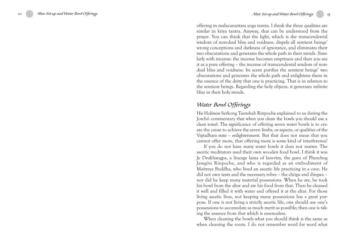offering in maha-anuttara yoga tantra. I think the three qualities are similar in kriya tantra. Anyway, that can be understood from the prayer. You can think that the light, which is the transcendental wisdom of non-dual bliss and voidness, dispels all sentient beings' wrong conceptions and darkness of ignorance, and eliminates their two obscurations and generates the whole path in their minds. Similarly with incense: the incense becomes emptiness and then you see it as a pure offering – the incense of transcendental wisdom of nondual bliss and voidness. Its scent purifies the sentient beings' two obscurations and generates the whole path and enlightens them in the essence of the deity that one is practicing. That is in relation to the sentient beings. Regarding the holy objects, it generates infinite bliss in their holy minds.

## Water Bowl Offerings

His Holiness Serkong Tsenshab Rinpoche explained to us during the Jorchö commentary that when you clean the bowls you should use a clean towel. The significance of offering seven water bowls is to create the cause to achieve the seven limbs, or aspects, or qualities of the Vajradhara state – enlightenment. But that does not mean that you cannot offer more, that offering more is some kind of interference!

 If you do not have many water bowls it does not matter. The ascetic meditators used their own wooden food bowl. I think it was Je Drukhangpa, a lineage lama of lam-rim, the guru of Phurchog Jamgön Rinpoche, and who is regarded as an embodiment of Maitreya Buddha, who lived an ascetic life practicing in a cave. He did not own texts and the necessary robes – the chögu and dingwa – nor did he keep many material possessions. When he ate, he took his bowl from the altar and ate his food from that. Then he cleaned it well and filled it with water and offered it at the altar. For those living ascetic lives, not keeping many possessions has a great purpose. If one is not living a strictly ascetic life, one should use one's possessions to accumulate as much merit as possible; then one is taking the essence from that which is essenceless.

 When cleaning the bowls what you should think is the same as when cleaning the room. I do not remember word for word what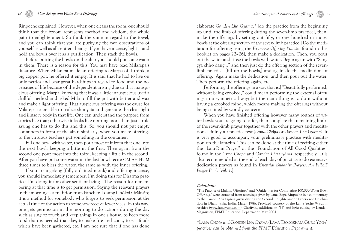Rinpoche explained. However, when one cleans the room, one should think that the broom represents method and wisdom, the whole path to enlightenment. So think the same in regard to the towel, and you can think that you are purifying the two obscurations of yourself as well as all sentient beings. If you have incense, light it and hold the bowls over it as a purification. Then stack the bowls.

 Before putting the bowls on the altar you should put some water in them. There is a reason for this. You may have read Milarepa's life-story. When Milarepa made an offering to Marpa of, I think, a big copper pot, he offered it empty. It is said that he had to live on only nettles and bear great hardships in regard to food and the necessities of life because of the dependent arising due to that inauspicious offering. Marpa, knowing that it was a little inauspicious used a skillful method and asked Mila to fill the pot with butter and wax and make a light offering. That auspicious offering was the cause for Milarepa to be able to realize shunyata and generate the clear light and illusory body in that life. One can understand the purpose from stories like that; otherwise it looks like nothing more than just a rule saying one has to do this and this. So, you should not put empty containers in front of the altar; similarly, when you make offerings to the virtuous teachers put something in the container.

 Fill one bowl with water, then pour most of it from that one into the next bowl, keeping a little in the first. Then again from the second one pour most into the third, keeping a little in the second. After you have put some water in the last bowl recite OM AH HUM three times to bless the water, the same as with the inner offering.

 If you are a gelong (fully ordained monk) and offering incense, you should immediately remember: I'm doing this for Dharma practice; I'm doing it for other sentient beings. The reason for remembering at that time is to get permission. Saying the relevant prayers in the morning is a tradition from Panchen Losang Chökyi Gyältsän; it is a method for somebody who forgets to seek permission at the actual time of the action to somehow receive fewer vices. In this way, one gets permission in the morning to do actions during the day such as sing or touch and keep things in one's house, to keep more food than is needed that day, to make fire and cook, to eat foods which have been gathered, etc. I am not sure that if one has done

elaborate *Ganden Lha Gyäma,\** [do the practice from the beginning up until the limb of offering during the seven-limb practice]; then, make the offerings by setting out fifty, or one hundred or more, bowls at the offering section of the seven-limb practice. [Do the meditation for offering using the *Extensive Offering Practice* found in this booklet on pages 22–26], then make a dedication. Then, you pour out the water and rinse the bowls with water. Begin again with "Sang gyä chhö dang..." and then just do the offering section of the sevenlimb practice, [fill up the bowls,] and again do the meditation of offering. Again make the dedication, and then pour out the water. Then perform the offering again, etc.

[Performing the offerings in a way that is,] "Beautifully performed, without being crooked," could mean performing the external offerings in a symmetrical way; but the main thing is to do it without having a crooked mind, which means making the offerings without being stained by worldly concern.

[When you have finished offering however many rounds of water bowls you are going to offer, then complete the remaining limbs of the seven-limb prayer together with the other prayers and meditations left in your practice text (*Lama Chöpa* or *Ganden Lha Gyäma)*. It is very good to accompany your preliminary practice with meditation on the lam-rim. This can be done at the time of reciting either the "Lam-Rim Prayer" or the "Foundation of All Good Qualities" found in the *Lama Chöpa* and *Ganden Lha Gyäma*, respectively. It is also recommended at the end of each day of practice to do extensive dedication prayers as found in *Essential Buddhist Prayers, An FPMT Prayer Book, Vol. 1*.]

#### Colophon:

"The Practice of Making Offerings" and "Guidelines for Completing 100,000 Water Bowl Offerings" were extracted from teachings given by Lama Zopa Rinpoche in a commentary to the *Ganden Lha Gyäma* given during the Second Enlightenment Experience Celebration in Dharamsala, India, March 1986. Provided courtesy of the Lama Yeshe Wisdom Archive (www.lamayeshe.com). Clarifying additions in "[ ]" and light editing by Kendall Magnussen, FPMT Education Department, May 2004.

*\**LAMA CHÖPA *and*  GANDEN LHA GYÄMA (LAMA TSONGKHAPA GURU YOGA) *practices can be obtained from the FPMT Education Department.*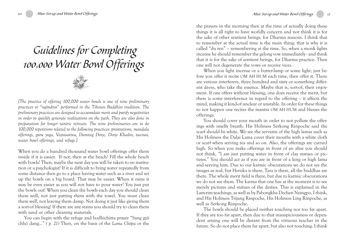## Guidelines for Completing 100,000 Water Bowl Offerings

*[The practice of offering 100,000 water bowls is one of nine preliminary practices or "ngöndros" performed in the Tibetan Buddhist tradition. The preliminary practices are designed to accumulate merit and purify negativities in order to quickly generate realizations on the path. They are also done in preparation for longer tantric retreats. The nine preliminaries are to do 100,000 repetitions related to the following practices: prostrations, mandala offerings, guru yoga, Vajrasattva, Damtsig Dorje, Dorje Khadro, tsa-tsas, water bowl offerings, and refuge.]*

When you do a hundred thousand water bowl offerings offer them inside if it is easier. If not, then at the beach! Fill the whole beach with bowls! Then, maybe the next day you will be taken to an institution or a psychologist! If it is difficult to bring water repeatedly from some distance then go to a place having water such as a river and set up the bowls on a big board. That may be easier. When it rains it may be even easier as you will not have to pour water! You just put the bowls out! When you clean the bowls each day you should clean them well, not just patting them with the towel. You must clean them well, not leaving them damp. Not doing it just like giving them a sort-of blessing! If there are any stains you should try to clean them with sand or other cleaning materials.

You can begin with the refuge and bodhichitta prayer "Sang gyä chhö dang..." *( p. 21)* Then, on the basis of the *Lama Chöpa* or the the prayers in the morning then at the time of actually doing these things it is all right to have worldly concern and not think it is for the sake of other sentient beings, for Dharma reasons. I think that to remember at the actual time is the main thing: that is why it is called "du ten" – remembering at the time. So, when a monk lights incense he should remember the gelong vow immediately - and think that it is for the sake of sentient beings, for Dharma practice. Then one will not degenerate the vows or receive vices.

When you light incense or a butter-lamp or some light, just before you offer it recite OM AH HUM each time, then offer it. There are various interferers, three hundred and sixty or something different *dö-ens*, who take the essence. Maybe that is, sort-of, their enjoyment. If one offers without blessing, one does receive the merit, but there is some interference in regard to the offering – it affects the mind, making it kind-of unclear or unstable. In order for these things to not happen one recites the mantra OM AH HUM and blesses the offerings.

 You should cover your mouth in order to not pollute the offerings with smelly breath. His Holiness Serkong Rinpoche said the scarf should be white. We see the servants of the high lamas such as His Holiness the Dalai Lama cover their mouths with a white cloth or scarf when serving tea and so on. Also, the offerings are carried high. So when you make offerings in front of an altar you should not think, "I am just putting water in front of clay statues or pictures." You should act as if you are in front of a king or high lama and serving him. Due to our karmic obscurations we do not see the images as real, but Heruka is there, Tara is there, all the buddhas are there. The whole merit field is there, but due to karmic obscurations we do not see them. The karma that one has at the moment is to see merely pictures and statues of the deities. This is explained in the Lam-rim teachings, as well as by Pabongkha Dechen Nyingpo, I think, and His Holiness Trijang Rinpoche, His Holiness Ling Rinpoche, as well as Serkong Rinpoche.

 The bowls should be placed neither touching nor too far apart. If they are too far apart, then due to that inauspiciousness or dependent arising one will be distant from the virtuous teacher in the future. So do not place them far apart, but also not touching. I think